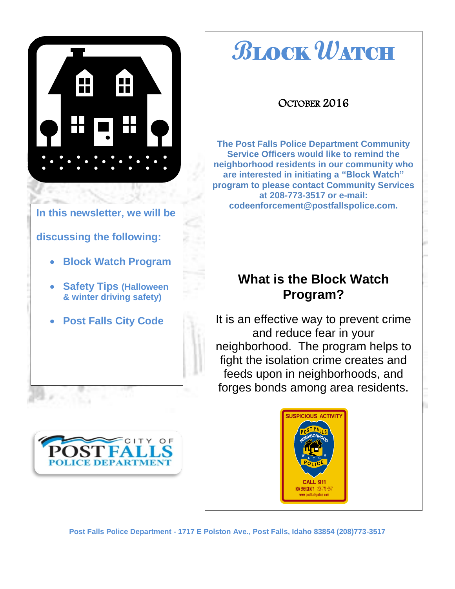

# **B**LOCK **W**ATCH

#### OCTOBER 2016

**The Post Falls Police Department Community Service Officers would like to remind the neighborhood residents in our community who are interested in initiating a "Block Watch" program to please contact Community Services at 208-773-3517 or e-mail: codeenforcement@postfallspolice.com.**

### **What is the Block Watch Program?**

It is an effective way to prevent crime and reduce fear in your neighborhood. The program helps to fight the isolation crime creates and feeds upon in neighborhoods, and forges bonds among area residents.

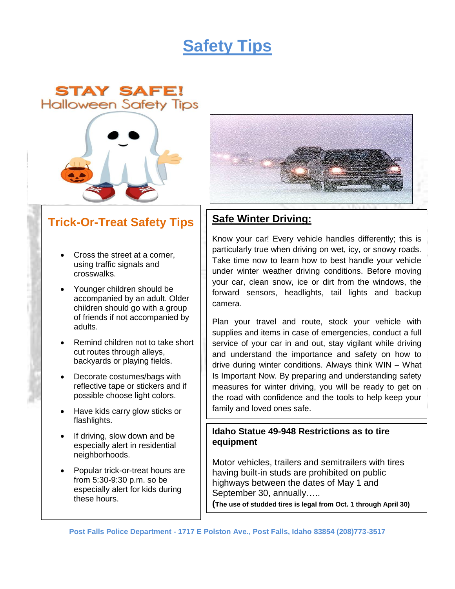## **Safety Tips**





#### **Trick-Or-Treat Safety Tips**

- Cross the street at a corner, using traffic signals and crosswalks.
- Younger children should be accompanied by an adult. Older children should go with a group of friends if not accompanied by adults.
- Remind children not to take short cut routes through alleys, backyards or playing fields.
- Decorate costumes/bags with reflective tape or stickers and if possible choose light colors.
- Have kids carry glow sticks or flashlights.
- If driving, slow down and be especially alert in residential neighborhoods.
- Popular trick-or-treat hours are from 5:30-9:30 p.m. so be especially alert for kids during these hours.



#### **Safe Winter Driving:**

Know your car! Every vehicle handles differently; this is particularly true when driving on wet, icy, or snowy roads. Take time now to learn how to best handle your vehicle under winter weather driving conditions. Before moving your car, clean snow, ice or dirt from the windows, the forward sensors, headlights, tail lights and backup camera.

Plan your travel and route, stock your vehicle with supplies and items in case of emergencies, conduct a full service of your car in and out, stay vigilant while driving and understand the importance and safety on how to drive during winter conditions. Always think WIN – What Is Important Now. By preparing and understanding safety measures for winter driving, you will be ready to get on the road with confidence and the tools to help keep your family and loved ones safe.

#### **Idaho Statue 49-948 Restrictions as to tire equipment**

Motor vehicles, trailers and semitrailers with tires having built-in studs are prohibited on public highways between the dates of May 1 and September 30, annually…..

**(The use of studded tires is legal from Oct. 1 through April 30)**